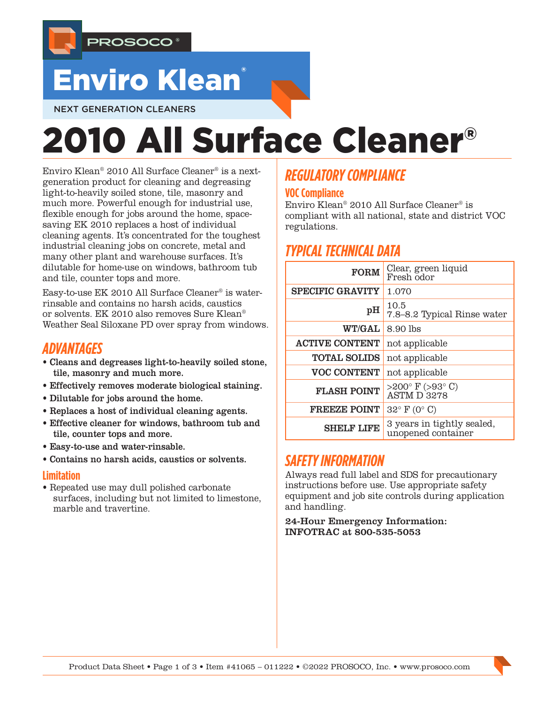

## Enviro Klean®

#### NEXT GENERATION CLEANERS

# 2010 All Surface Cleaner®

Enviro Klean® 2010 All Surface Cleaner® is a nextgeneration product for cleaning and degreasing light-to-heavily soiled stone, tile, masonry and much more. Powerful enough for industrial use, flexible enough for jobs around the home, spacesaving EK 2010 replaces a host of individual cleaning agents. It's concentrated for the toughest industrial cleaning jobs on concrete, metal and many other plant and warehouse surfaces. It's dilutable for home-use on windows, bathroom tub and tile, counter tops and more.

Easy-to-use EK 2010 All Surface Cleaner® is waterrinsable and contains no harsh acids, caustics or solvents. EK 2010 also removes Sure Klean® Weather Seal Siloxane PD over spray from windows.

## *ADVANTAGES*

- Cleans and degreases light-to-heavily soiled stone, tile, masonry and much more.
- Effectively removes moderate biological staining.
- Dilutable for jobs around the home.
- Replaces a host of individual cleaning agents.
- Effective cleaner for windows, bathroom tub and tile, counter tops and more.
- Easy-to-use and water-rinsable.
- Contains no harsh acids, caustics or solvents.

#### **Limitation**

• Repeated use may dull polished carbonate surfaces, including but not limited to limestone, marble and travertine.

## *REGULATORY COMPLIANCE*

#### **VOC Compliance**

Enviro Klean® 2010 All Surface Cleaner® is compliant with all national, state and district VOC regulations.

## *TYPICAL TECHNICAL DATA*

| <b>FORM</b>             | Clear, green liquid<br>Fresh odor                 |  |  |
|-------------------------|---------------------------------------------------|--|--|
| <b>SPECIFIC GRAVITY</b> | 1.070                                             |  |  |
| pH                      | 10.5<br>7.8-8.2 Typical Rinse water               |  |  |
| WT/GAL                  | 8.90 lbs                                          |  |  |
| <b>ACTIVE CONTENT</b>   | not applicable                                    |  |  |
| <b>TOTAL SOLIDS</b>     | not applicable                                    |  |  |
| <b>VOC CONTENT</b>      | not applicable                                    |  |  |
| <b>FLASH POINT</b>      | >200 $\degree$ F (>93 $\degree$ C)<br>ASTM D 3278 |  |  |
| <b>FREEZE POINT</b>     | $32^{\circ}$ F (0° C)                             |  |  |
| <b>SHELF LIFE</b>       | 3 years in tightly sealed,<br>unopened container  |  |  |

## *SAFETY INFORMATION*

Always read full label and SDS for precautionary instructions before use. Use appropriate safety equipment and job site controls during application and handling.

24-Hour Emergency Information: INFOTRAC at 800-535-5053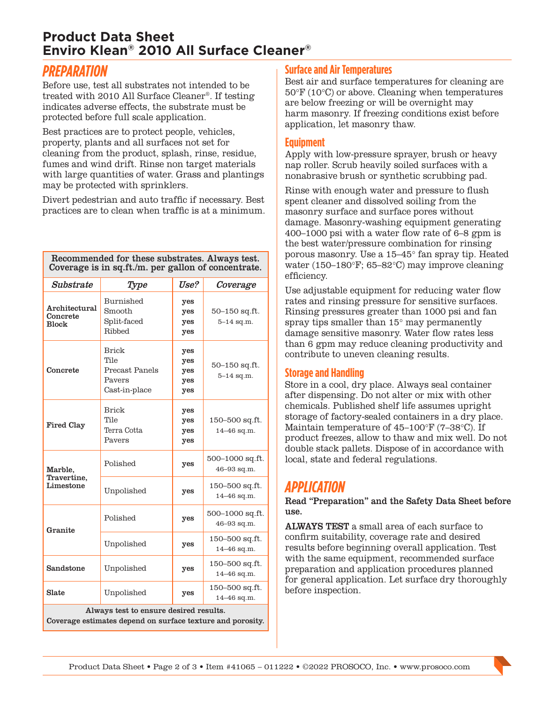## **Product Data Sheet Enviro Klean® 2010 All Surface Cleaner®**

## *PREPARATION*

Before use, test all substrates not intended to be treated with 2010 All Surface Cleaner®. If testing indicates adverse effects, the substrate must be protected before full scale application.

Best practices are to protect people, vehicles, property, plants and all surfaces not set for cleaning from the product, splash, rinse, residue, fumes and wind drift. Rinse non target materials with large quantities of water. Grass and plantings may be protected with sprinklers.

Divert pedestrian and auto traffic if necessary. Best practices are to clean when traffic is at a minimum.

Recommended for these substrates. Always test. Coverage is in sq.ft./m. per gallon of concentrate.

| Substrate                                                                                            | Type                                                       | Use?                            | Coverage                        |
|------------------------------------------------------------------------------------------------------|------------------------------------------------------------|---------------------------------|---------------------------------|
| Architectural<br>Concrete<br><b>Block</b>                                                            | Burnished<br>Smooth<br>Split-faced<br>Ribbed               | yes<br>yes<br>yes<br>yes        | 50-150 sq.ft.<br>$5 - 14$ sq.m. |
| Concrete                                                                                             | Brick<br>Tile<br>Precast Panels<br>Pavers<br>Cast-in-place | yes<br>yes<br>yes<br>yes<br>yes | 50-150 sq.ft.<br>$5 - 14$ sq.m. |
| <b>Fired Clay</b>                                                                                    | <b>Brick</b><br>Tile<br>Terra Cotta<br>Pavers              | yes<br>yes<br>yes<br>yes        | 150-500 sq.ft.<br>14-46 sq.m.   |
| Marble,<br>Travertine.<br>Limestone                                                                  | Polished                                                   | yes                             | 500-1000 sq.ft.<br>46-93 sq.m.  |
|                                                                                                      | Unpolished                                                 | yes                             | 150-500 sq.ft.<br>14-46 sq.m.   |
| Granite                                                                                              | Polished                                                   | yes                             | 500-1000 sq.ft.<br>46-93 sq.m.  |
|                                                                                                      | Unpolished                                                 | yes                             | 150-500 sq.ft.<br>14-46 sq.m.   |
| Sandstone                                                                                            | Unpolished                                                 | yes                             | 150–500 sq.ft.<br>14-46 sq.m.   |
| Slate                                                                                                | Unpolished                                                 | yes                             | 150–500 sq.ft.<br>14-46 sq.m.   |
| Always test to ensure desired results.<br>Coverage estimates depend on surface texture and porosity. |                                                            |                                 |                                 |

#### **Surface and Air Temperatures**

Best air and surface temperatures for cleaning are 50°F (10°C) or above. Cleaning when temperatures are below freezing or will be overnight may harm masonry. If freezing conditions exist before application, let masonry thaw.

#### **Equipment**

Apply with low-pressure sprayer, brush or heavy nap roller. Scrub heavily soiled surfaces with a nonabrasive brush or synthetic scrubbing pad.

Rinse with enough water and pressure to flush spent cleaner and dissolved soiling from the masonry surface and surface pores without damage. Masonry-washing equipment generating 400–1000 psi with a water flow rate of 6–8 gpm is the best water/pressure combination for rinsing porous masonry. Use a 15–45° fan spray tip. Heated water (150–180°F; 65–82°C) may improve cleaning efficiency.

Use adjustable equipment for reducing water flow rates and rinsing pressure for sensitive surfaces. Rinsing pressures greater than 1000 psi and fan spray tips smaller than 15° may permanently damage sensitive masonry. Water flow rates less than 6 gpm may reduce cleaning productivity and contribute to uneven cleaning results.

#### **Storage and Handling**

Store in a cool, dry place. Always seal container after dispensing. Do not alter or mix with other chemicals. Published shelf life assumes upright storage of factory-sealed containers in a dry place. Maintain temperature of 45–100°F (7–38°C). If product freezes, allow to thaw and mix well. Do not double stack pallets. Dispose of in accordance with local, state and federal regulations.

## *APPLICATION*

#### Read "Preparation" and the Safety Data Sheet before use.

ALWAYS TEST a small area of each surface to confirm suitability, coverage rate and desired results before beginning overall application. Test with the same equipment, recommended surface preparation and application procedures planned for general application. Let surface dry thoroughly before inspection.